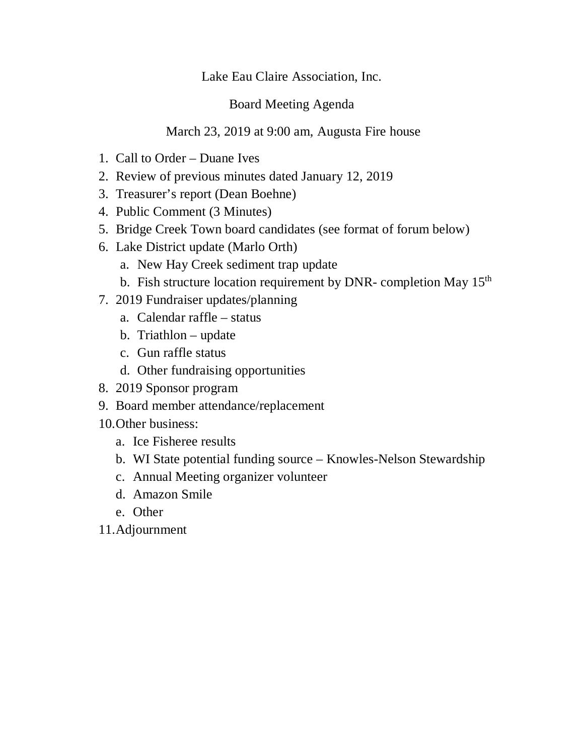## Lake Eau Claire Association, Inc.

## Board Meeting Agenda

## March 23, 2019 at 9:00 am, Augusta Fire house

- 1. Call to Order Duane Ives
- 2. Review of previous minutes dated January 12, 2019
- 3. Treasurer's report (Dean Boehne)
- 4. Public Comment (3 Minutes)
- 5. Bridge Creek Town board candidates (see format of forum below)
- 6. Lake District update (Marlo Orth)
	- a. New Hay Creek sediment trap update
	- b. Fish structure location requirement by DNR- completion May 15<sup>th</sup>
- 7. 2019 Fundraiser updates/planning
	- a. Calendar raffle status
	- b. Triathlon update
	- c. Gun raffle status
	- d. Other fundraising opportunities
- 8. 2019 Sponsor program
- 9. Board member attendance/replacement
- 10.Other business:
	- a. Ice Fisheree results
	- b. WI State potential funding source Knowles-Nelson Stewardship
	- c. Annual Meeting organizer volunteer
	- d. Amazon Smile
	- e. Other

11.Adjournment